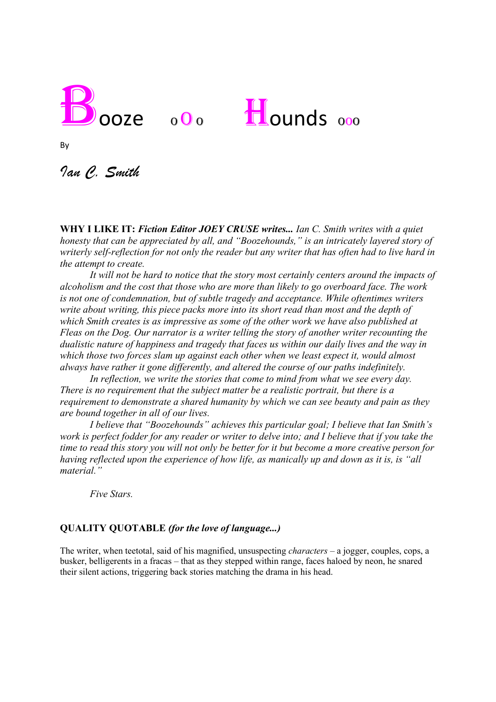



By

*Ian C. Smith*

**WHY I LIKE IT:** *Fiction Editor JOEY CRUSE writes... Ian C. Smith writes with a quiet honesty that can be appreciated by all, and "Boozehounds," is an intricately layered story of writerly self-reflection for not only the reader but any writer that has often had to live hard in the attempt to create.*

*It will not be hard to notice that the story most certainly centers around the impacts of alcoholism and the cost that those who are more than likely to go overboard face. The work is not one of condemnation, but of subtle tragedy and acceptance. While oftentimes writers write about writing, this piece packs more into its short read than most and the depth of which Smith creates is as impressive as some of the other work we have also published at Fleas on the Dog. Our narrator is a writer telling the story of another writer recounting the dualistic nature of happiness and tragedy that faces us within our daily lives and the way in which those two forces slam up against each other when we least expect it, would almost always have rather it gone differently, and altered the course of our paths indefinitely.*

*In reflection, we write the stories that come to mind from what we see every day. There is no requirement that the subject matter be a realistic portrait, but there is a requirement to demonstrate a shared humanity by which we can see beauty and pain as they are bound together in all of our lives.*

*I believe that "Boozehounds" achieves this particular goal; I believe that Ian Smith's work is perfect fodder for any reader or writer to delve into; and I believe that if you take the time to read this story you will not only be better for it but become a more creative person for having reflected upon the experience of how life, as manically up and down as it is, is "all material."* 

*Five Stars.* 

## **QUALITY QUOTABLE** *(for the love of language...)*

The writer, when teetotal, said of his magnified, unsuspecting *characters* – a jogger, couples, cops, a busker, belligerents in a fracas – that as they stepped within range, faces haloed by neon, he snared their silent actions, triggering back stories matching the drama in his head.